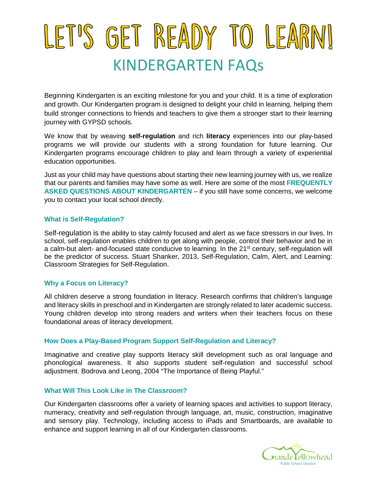# LET'S GET READY TO LEARNI KINDERGARTEN FAQs

Beginning Kindergarten is an exciting milestone for you and your child. It is a time of exploration and growth. Our Kindergarten program is designed to delight your child in learning, helping them build stronger connections to friends and teachers to give them a stronger start to their learning journey with GYPSD schools.

We know that by weaving **self-regulation** and rich **literacy** experiences into our play-based programs we will provide our students with a strong foundation for future learning. Our Kindergarten programs encourage children to play and learn through a variety of experiential education opportunities.

Just as your child may have questions about starting their new learning journey with us, we realize that our parents and families may have some as well. Here are some of the most **FREQUENTLY ASKED QUESTIONS ABOUT KINDERGARTEN** – if you still have some concerns, we welcome you to contact your local school directly.

## **What is Self-Regulation?**

Self-regulation is the ability to stay calmly focused and alert as we face stressors in our lives. In school, self-regulation enables children to get along with people, control their behavior and be in a calm-but alert- and-focused state conducive to learning. In the 21<sup>st</sup> century, self-regulation will be the predictor of success. Stuart Shanker, 2013, Self-Regulation, Calm, Alert, and Learning: Classroom Strategies for Self-Regulation.

## **Why a Focus on Literacy?**

All children deserve a strong foundation in literacy. Research confirms that children's language and literacy skills in preschool and in Kindergarten are strongly related to later academic success. Young children develop into strong readers and writers when their teachers focus on these foundational areas of literacy development.

## **How Does a Play-Based Program Support Self-Regulation and Literacy?**

Imaginative and creative play supports literacy skill development such as oral language and phonological awareness. It also supports student self-regulation and successful school adjustment. Bodrova and Leong, 2004 "The Importance of Being Playful."

## **What Will This Look Like in The Classroom?**

Our Kindergarten classrooms offer a variety of learning spaces and activities to support literacy, numeracy, creativity and self-regulation through language, art, music, construction, imaginative and sensory play. Technology, including access to iPads and Smartboards, are available to enhance and support learning in all of our Kindergarten classrooms.